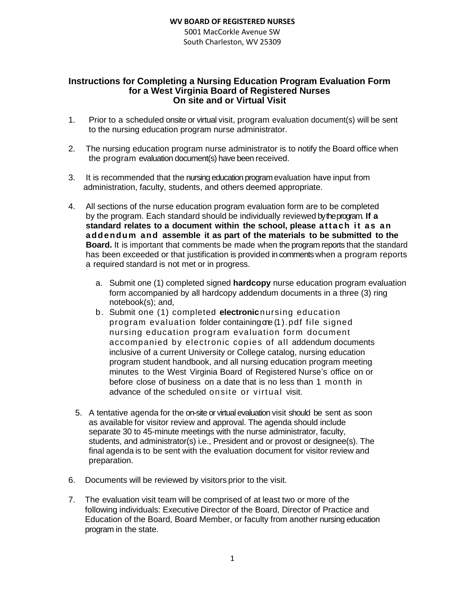## **WV BOARD OF REGISTERED NURSES**

5001 MacCorkle Avenue SW South Charleston, WV 25309

## **Instructions for Completing a Nursing Education Program Evaluation Form for a West Virginia Board of Registered Nurses On site and or Virtual Visit**

- 1. Prior to a scheduled onsite or virtual visit, program evaluation document(s) will be sent to the nursing education program nurse administrator.
- 2. The nursing education program nurse administrator is to notify the Board office when the program evaluation document(s) have been received.
- 3. It is recommended that the nursing education program evaluation have input from administration, faculty, students, and others deemed appropriate.
- 4. All sections of the nurse education program evaluation form are to be completed by the program. Each standard should be individually reviewed by the program. **If a standard relates to a document within the school, please atta ch it a s a n a ddendum and assemble it as part of the materials to be submitted to the Board.** It is important that comments be made when the program reports that the standard has been exceeded or that justification is provided in comments when a program reports a required standard is not met or in progress.
	- a. Submit one (1) completed signed **hardcopy** nurse education program evaluation form accompanied by all hardcopy addendum documents in a three (3) ring notebook(s); and,
	- b. Submit one (1) completed **electronic** nursing education program evaluation folder containingone (1).pdf file signed nursing education program evaluation form document accompanied by electronic copies of all addendum documents inclusive of a current University or College catalog, nursing education program student handbook, and all nursing education program meeting minutes to the West Virginia Board of Registered Nurse's office on or before close of business on a date that is no less than 1 month in advance of the scheduled onsite or virtual visit.
	- 5. A tentative agenda for the on-site or virtual evaluation visit should be sent as soon as available for visitor review and approval. The agenda should include separate 30 to 45-minute meetings with the nurse administrator, faculty, students, and administrator(s) i.e., President and or provost or designee(s). The final agenda is to be sent with the evaluation document for visitor review and preparation.
- 6. Documents will be reviewed by visitors prior to the visit.
- 7. The evaluation visit team will be comprised of at least two or more of the following individuals: Executive Director of the Board, Director of Practice and Education of the Board, Board Member, or faculty from another nursing education program in the state.